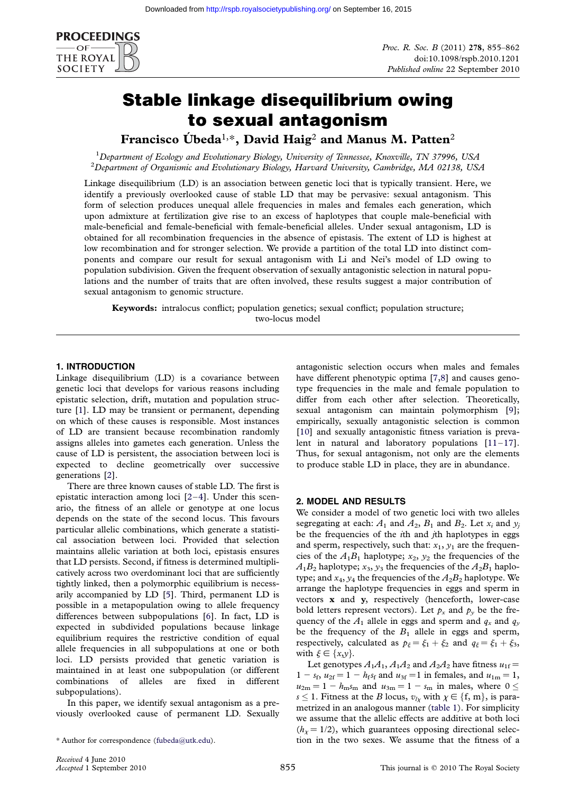

# Stable linkage disequilibrium owing to sexual antagonism

Francisco Úbeda<sup>1,\*</sup>, David Haig<sup>2</sup> and Manus M. Patten<sup>2</sup>

<sup>1</sup> Department of Ecology and Evolutionary Biology, University of Tennessee, Knoxville, TN 37996, USA<br><sup>2</sup> Department of Organismic and Evolutionary Biology, Harvard University Cambridge, MA 02138, US  ${}^{2}$ Department of Organismic and Evolutionary Biology, Harvard University, Cambridge, MA 02138, USA

Linkage disequilibrium (LD) is an association between genetic loci that is typically transient. Here, we identify a previously overlooked cause of stable LD that may be pervasive: sexual antagonism. This form of selection produces unequal allele frequencies in males and females each generation, which upon admixture at fertilization give rise to an excess of haplotypes that couple male-beneficial with male-beneficial and female-beneficial with female-beneficial alleles. Under sexual antagonism, LD is obtained for all recombination frequencies in the absence of epistasis. The extent of LD is highest at low recombination and for stronger selection. We provide a partition of the total LD into distinct components and compare our result for sexual antagonism with Li and Nei's model of LD owing to population subdivision. Given the frequent observation of sexually antagonistic selection in natural populations and the number of traits that are often involved, these results suggest a major contribution of sexual antagonism to genomic structure.

Keywords: intralocus conflict; population genetics; sexual conflict; population structure; two-locus model

## 1. INTRODUCTION

Linkage disequilibrium (LD) is a covariance between genetic loci that develops for various reasons including epistatic selection, drift, mutation and population structure [\[1](#page-6-0)]. LD may be transient or permanent, depending on which of these causes is responsible. Most instances of LD are transient because recombination randomly assigns alleles into gametes each generation. Unless the cause of LD is persistent, the association between loci is expected to decline geometrically over successive generations [\[2\]](#page-6-0).

There are three known causes of stable LD. The first is epistatic interaction among loci [[2](#page-6-0)–[4\]](#page-6-0). Under this scenario, the fitness of an allele or genotype at one locus depends on the state of the second locus. This favours particular allelic combinations, which generate a statistical association between loci. Provided that selection maintains allelic variation at both loci, epistasis ensures that LD persists. Second, if fitness is determined multiplicatively across two overdominant loci that are sufficiently tightly linked, then a polymorphic equilibrium is necessarily accompanied by LD [\[5](#page-6-0)]. Third, permanent LD is possible in a metapopulation owing to allele frequency differences between subpopulations [[6\]](#page-6-0). In fact, LD is expected in subdivided populations because linkage equilibrium requires the restrictive condition of equal allele frequencies in all subpopulations at one or both loci. LD persists provided that genetic variation is maintained in at least one subpopulation (or different combinations of alleles are fixed in different subpopulations).

In this paper, we identify sexual antagonism as a previously overlooked cause of permanent LD. Sexually antagonistic selection occurs when males and females have different phenotypic optima [[7,8\]](#page-6-0) and causes genotype frequencies in the male and female population to differ from each other after selection. Theoretically, sexual antagonism can maintain polymorphism [[9](#page-6-0)]; empirically, sexually antagonistic selection is common [\[10\]](#page-6-0) and sexually antagonistic fitness variation is prevalent in natural and laboratory populations  $[11-17]$  $[11-17]$  $[11-17]$  $[11-17]$ . Thus, for sexual antagonism, not only are the elements to produce stable LD in place, they are in abundance.

### 2. MODEL AND RESULTS

We consider a model of two genetic loci with two alleles segregating at each:  $A_1$  and  $A_2$ ,  $B_1$  and  $B_2$ . Let  $x_i$  and  $y_j$ be the frequencies of the  $i$ th and  $j$ th haplotypes in eggs and sperm, respectively, such that:  $x_1$ ,  $y_1$  are the frequencies of the  $A_1B_1$  haplotype;  $x_2, y_2$  the frequencies of the  $A_1B_2$  haplotype;  $x_3, y_3$  the frequencies of the  $A_2B_1$  haplotype; and  $x_4$ ,  $y_4$  the frequencies of the  $A_2B_2$  haplotype. We arrange the haplotype frequencies in eggs and sperm in vectors x and y, respectively (henceforth, lower-case bold letters represent vectors). Let  $p_x$  and  $p_y$  be the frequency of the  $A_1$  allele in eggs and sperm and  $q_x$  and  $q_y$ be the frequency of the  $B_1$  allele in eggs and sperm, respectively, calculated as  $p_{\xi} = \xi_1 + \xi_2$  and  $q_{\xi} = \xi_1 + \xi_3$ , with  $\xi \in \{x,y\}.$ 

Let genotypes  $A_1A_1$ ,  $A_1A_2$  and  $A_2A_2$  have fitness  $u_{1f}$  =  $1 - s_f$ ,  $u_{2f} = 1 - h_f s_f$  and  $u_{3f} = 1$  in females, and  $u_{1m} = 1$ ,  $u_{2m} = 1 - h_{m} s_m$  and  $u_{3m} = 1 - s_m$  in males, where  $0 \le$  $s \leq 1$ . Fitness at the B locus,  $v_{l\chi}$  with  $\chi \in \{\text{f, m}\},$  is parametrized in an analogous manner ([table 1\)](#page-1-0). For simplicity we assume that the allelic effects are additive at both loci  $(h<sub>x</sub> = 1/2)$ , which guarantees opposing directional selec-\* Author for correspondence ([fubeda@utk.edu](mailto:fubeda@utk.edu)). tion in the two sexes. We assume that the fitness of a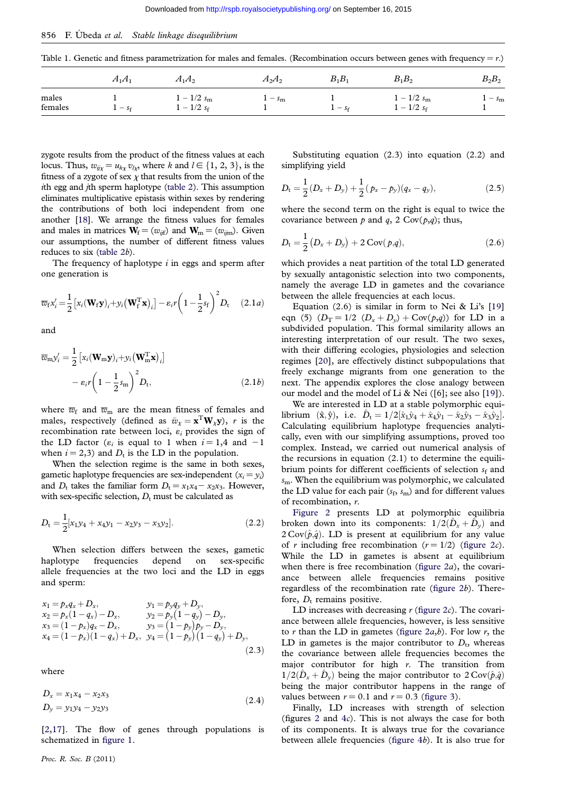<span id="page-1-0"></span>856 F. Übeda et al. Stable linkage disequilibrium

Table 1. Genetic and fitness parametrization for males and females. (Recombination occurs between genes with frequency =  $r$ .)

|                  | $A_1A_1$ | $A_1A_2$                                | $A_2A_2$              | $B_1B_1$     | $B_1B_2$                       | $B_2B_2$     |
|------------------|----------|-----------------------------------------|-----------------------|--------------|--------------------------------|--------------|
| males<br>females | -<br>36  | $1 - 1/2 s_{\rm m}$<br>$1/2 s_f$<br>$-$ | $\cdot$ – $s_{\rm m}$ | $\sim$<br>5f | $1 - 1/2 s_m$<br>$1 - 1/2 s_f$ | $-s_{\rm m}$ |

zygote results from the product of the fitness values at each locus. Thus,  $w_{ij\chi} = u_{k\chi} v_{l\chi}$ , where k and  $l \in \{1, 2, 3\}$ , is the fitness of a zygote of sex  $\chi$  that results from the union of the ith egg and jth sperm haplotype ([table 2\)](#page-2-0). This assumption eliminates multiplicative epistasis within sexes by rendering the contributions of both loci independent from one another [\[18\]](#page-7-0). We arrange the fitness values for females and males in matrices  $\mathbf{W}_{f} = (w_{ijf})$  and  $\mathbf{W}_{m} = (w_{ijm})$ . Given our assumptions, the number of different fitness values reduces to six [\(table 2](#page-2-0)b).

The frequency of haplotype  $i$  in eggs and sperm after one generation is

$$
\overline{w}_{f}x'_{i} = \frac{1}{2} \left[ x_{i}(\mathbf{W}_{f}\mathbf{y})_{i} + y_{i}(\mathbf{W}_{f}^{T}\mathbf{x})_{i} \right] - \varepsilon_{i}r \left( 1 - \frac{1}{2}s_{f} \right)^{2} D_{t} \quad (2.1a)
$$

and

$$
\overline{w}_{m} y'_{i} = \frac{1}{2} \left[ x_{i} (\mathbf{W}_{m} \mathbf{y})_{i} + y_{i} (\mathbf{W}_{m}^{T} \mathbf{x})_{i} \right]
$$

$$
- \varepsilon_{i} r \left( 1 - \frac{1}{2} s_{m} \right)^{2} D_{t}, \qquad (2.1b)
$$

where  $\overline{w}_{\text{f}}$  and  $\overline{w}_{\text{m}}$  are the mean fitness of females and males, respectively (defined as  $\bar{w}_{\chi} = \mathbf{x}^{\text{T}} \mathbf{W}_{\chi} \mathbf{y}$ ),  $r$  is the recombination rate between loci,  $\varepsilon_i$  provides the sign of the LD factor ( $\varepsilon_i$  is equal to 1 when  $i = 1,4$  and  $-1$ when  $i = 2,3$ ) and  $D_t$  is the LD in the population.

When the selection regime is the same in both sexes, gametic haplotype frequencies are sex-independent  $(x_i = y_i)$ and  $D_t$  takes the familiar form  $D_t = x_1x_4 - x_2x_3$ . However, with sex-specific selection,  $D_t$  must be calculated as

$$
D_{t} = \frac{1}{2}[x_{1}y_{4} + x_{4}y_{1} - x_{2}y_{3} - x_{3}y_{2}].
$$
\n(2.2)

When selection differs between the sexes, gametic haplotype frequencies depend on sex-specific allele frequencies at the two loci and the LD in eggs and sperm:

$$
x_1 = p_x q_x + D_x, \t y_1 = p_y q_y + D_y, \n x_2 = p_x (1 - q_x) - D_x, \t y_2 = p_y (1 - q_y) - D_y, \n x_3 = (1 - p_x) q_x - D_x, \t y_3 = (1 - p_y) p_y - D_y, \n x_4 = (1 - p_x) (1 - q_x) + D_x, \t y_4 = (1 - p_y) (1 - q_y) + D_y, \n (2.3)
$$

where

$$
D_x = x_1 x_4 - x_2 x_3
$$
  
\n
$$
D_y = y_1 y_4 - y_2 y_3
$$
\n(2.4)

[\[2,](#page-6-0)[17\]](#page-7-0). The flow of genes through populations is schematized in [figure 1.](#page-3-0)

Substituting equation (2.3) into equation (2.2) and simplifying yield

$$
D_{\rm t} = \frac{1}{2}(D_x + D_y) + \frac{1}{2}(p_x - p_y)(q_x - q_y), \qquad (2.5)
$$

where the second term on the right is equal to twice the covariance between  $p$  and  $q$ , 2 Cov( $p$ , $q$ ); thus,

$$
D_{t} = \frac{1}{2} (D_{x} + D_{y}) + 2 \operatorname{Cov}(p, q), \qquad (2.6)
$$

which provides a neat partition of the total LD generated by sexually antagonistic selection into two components, namely the average LD in gametes and the covariance between the allele frequencies at each locus.

Equation  $(2.6)$  is similar in form to Nei & Li's [[19](#page-7-0)] eqn (5)  $(D_T = 1/2 \ (D_x + D_y) + Cov(p,q))$  for LD in a subdivided population. This formal similarity allows an interesting interpretation of our result. The two sexes, with their differing ecologies, physiologies and selection regimes [[20](#page-7-0)], are effectively distinct subpopulations that freely exchange migrants from one generation to the next. The appendix explores the close analogy between our model and the model of Li & Nei ([6]; see also [\[19\]](#page-7-0)).

We are interested in LD at a stable polymorphic equilibrium  $(\hat{x}, \hat{y})$ , i.e.  $\hat{D}_t = 1/2[\hat{x}_1\hat{y}_4 + \hat{x}_4\hat{y}_1 - \hat{x}_2\hat{y}_3 - \hat{x}_3\hat{y}_2].$ Calculating equilibrium haplotype frequencies analytically, even with our simplifying assumptions, proved too complex. Instead, we carried out numerical analysis of the recursions in equation (2.1) to determine the equilibrium points for different coefficients of selection  $s_f$  and  $s<sub>m</sub>$ . When the equilibrium was polymorphic, we calculated the LD value for each pair  $(s_f, s_m)$  and for different values of recombination, r.

[Figure 2](#page-4-0) presents LD at polymorphic equilibria broken down into its components:  $1/2(D_x + D_y)$  and  $2 \text{Cov}(\hat{p},\hat{q})$ . LD is present at equilibrium for any value of r including free recombination  $(r = 1/2)$  ([figure 2](#page-4-0)c). While the LD in gametes is absent at equilibrium when there is free recombination (figure  $2a$ ), the covariance between allele frequencies remains positive regardless of the recombination rate [\(figure 2](#page-4-0)b). Therefore,  $D_t$  remains positive.

LD increases with decreasing  $r$  ([figure 2](#page-4-0) $c$ ). The covariance between allele frequencies, however, is less sensitive to  $r$  than the LD in gametes (figure  $2a,b$ ). For low  $r$ , the LD in gametes is the major contributor to  $D_t$ , whereas the covariance between allele frequencies becomes the major contributor for high  $r$ . The transition from  $1/2(D_x + D_y)$  being the major contributor to  $2 \text{Cov}(\hat{p},\hat{q})$ being the major contributor happens in the range of values between  $r = 0.1$  and  $r = 0.3$  ([figure 3\)](#page-5-0).

Finally, LD increases with strength of selection (figures [2](#page-4-0) and  $4c$  $4c$ ). This is not always the case for both of its components. It is always true for the covariance between allele frequencies ([figure 4](#page-5-0)b). It is also true for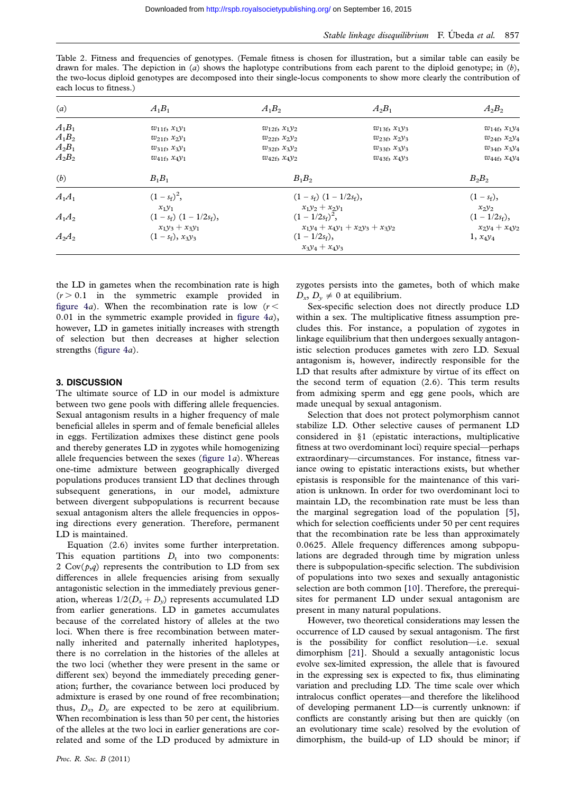<span id="page-2-0"></span>Table 2. Fitness and frequencies of genotypes. (Female fitness is chosen for illustration, but a similar table can easily be drawn for males. The depiction in (a) shows the haplotype contributions from each parent to the diploid genotype; in  $(b)$ , the two-locus diploid genotypes are decomposed into their single-locus components to show more clearly the contribution of each locus to fitness.)

| (a)      | $A_1B_1$                                                       | $A_1B_2$                                                  | $A_2B_1$               | $A_2B_2$                             |
|----------|----------------------------------------------------------------|-----------------------------------------------------------|------------------------|--------------------------------------|
| $A_1B_1$ | $w_{11f}$ , $x_1y_1$                                           | $w_{12f}$ , $x_1y_2$                                      | $w_{13f}$ , $x_1y_3$   | $w_{14f}$ , $x_1y_4$                 |
| $A_1B_2$ | $w_{21f}$ , $x_{2}y_1$                                         | $w_{22f}$ , $x_{2}y_2$                                    | $w_{23f}$ , $x_{2}y_3$ | $w_{24f}$ , $x_{2}y_4$               |
| $A_2B_1$ | $w_{31f}$ , $x_3y_1$                                           | $w_{32f}$ , $x_3y_2$                                      | $w_{33f}, x_3y_3$      | $w_{34f}$ , $x_3y_4$                 |
| $A_2B_2$ | $w_{41f}$ , $x_4y_1$                                           | $w_{42f}$ , $x_{4}y_2$                                    | $w_{43f}$ , $x_{4}y_3$ | $w_{44f}$ , $x_4y_4$                 |
| (b)      | $B_1B_1$                                                       | $B_1B_2$                                                  |                        | $B_2B_2$                             |
| $A_1A_1$ | $(1 - s_f)^2$ ,<br>$x_1y_1$                                    | $(1 - s_f)$ $(1 - 1/2s_f)$ ,<br>$x_1y_2 + x_2y_1$         |                        | $(1 - s_f),$<br>$x_2y_2$             |
| $A_1A_2$ | $(1 - s_f)$ $(1 - 1/2s_f)$ ,<br>$x_1y_3 + x_3y_1$              | $(1 - 1/2s_f)^2$ ,<br>$x_1y_4 + x_4y_1 + x_2y_3 + x_3y_2$ |                        | $(1 - 1/2s_f),$<br>$x_2y_4 + x_4y_2$ |
| $A_2A_2$ | $(1 - 1/2s_f),$<br>$(1 - s_f)$ , $x_3y_3$<br>$x_3y_4 + x_4y_3$ |                                                           |                        | $1, x_4y_4$                          |

the LD in gametes when the recombination rate is high  $(r > 0.1$  in the symmetric example provided in [figure 4](#page-5-0)a). When the recombination rate is low  $(r <$ 0.01 in the symmetric example provided in figure  $4a$ ), however, LD in gametes initially increases with strength of selection but then decreases at higher selection strengths ([figure 4](#page-5-0)a).

#### 3. DISCUSSION

The ultimate source of LD in our model is admixture between two gene pools with differing allele frequencies. Sexual antagonism results in a higher frequency of male beneficial alleles in sperm and of female beneficial alleles in eggs. Fertilization admixes these distinct gene pools and thereby generates LD in zygotes while homogenizing allele frequencies between the sexes (figure  $1a$ ). Whereas one-time admixture between geographically diverged populations produces transient LD that declines through subsequent generations, in our model, admixture between divergent subpopulations is recurrent because sexual antagonism alters the allele frequencies in opposing directions every generation. Therefore, permanent LD is maintained.

Equation (2.6) invites some further interpretation. This equation partitions  $D_t$  into two components: 2  $Cov(p,q)$  represents the contribution to LD from sex differences in allele frequencies arising from sexually antagonistic selection in the immediately previous generation, whereas  $1/2(D_x + D_y)$  represents accumulated LD from earlier generations. LD in gametes accumulates because of the correlated history of alleles at the two loci. When there is free recombination between maternally inherited and paternally inherited haplotypes, there is no correlation in the histories of the alleles at the two loci (whether they were present in the same or different sex) beyond the immediately preceding generation; further, the covariance between loci produced by admixture is erased by one round of free recombination; thus,  $D_x$ ,  $D_y$  are expected to be zero at equilibrium. When recombination is less than 50 per cent, the histories of the alleles at the two loci in earlier generations are correlated and some of the LD produced by admixture in zygotes persists into the gametes, both of which make  $D_{\gamma}, D_{\gamma} \neq 0$  at equilibrium.

Sex-specific selection does not directly produce LD within a sex. The multiplicative fitness assumption precludes this. For instance, a population of zygotes in linkage equilibrium that then undergoes sexually antagonistic selection produces gametes with zero LD. Sexual antagonism is, however, indirectly responsible for the LD that results after admixture by virtue of its effect on the second term of equation (2.6). This term results from admixing sperm and egg gene pools, which are made unequal by sexual antagonism.

Selection that does not protect polymorphism cannot stabilize LD. Other selective causes of permanent LD considered in §1 (epistatic interactions, multiplicative fitness at two overdominant loci) require special—perhaps extraordinary—circumstances. For instance, fitness variance owing to epistatic interactions exists, but whether epistasis is responsible for the maintenance of this variation is unknown. In order for two overdominant loci to maintain LD, the recombination rate must be less than the marginal segregation load of the population [[5](#page-6-0)], which for selection coefficients under 50 per cent requires that the recombination rate be less than approximately 0.0625. Allele frequency differences among subpopulations are degraded through time by migration unless there is subpopulation-specific selection. The subdivision of populations into two sexes and sexually antagonistic selection are both common [\[10\]](#page-6-0). Therefore, the prerequisites for permanent LD under sexual antagonism are present in many natural populations.

However, two theoretical considerations may lessen the occurrence of LD caused by sexual antagonism. The first is the possibility for conflict resolution—i.e. sexual dimorphism [[21](#page-7-0)]. Should a sexually antagonistic locus evolve sex-limited expression, the allele that is favoured in the expressing sex is expected to fix, thus eliminating variation and precluding LD. The time scale over which intralocus conflict operates—and therefore the likelihood of developing permanent LD—is currently unknown: if conflicts are constantly arising but then are quickly (on an evolutionary time scale) resolved by the evolution of dimorphism, the build-up of LD should be minor; if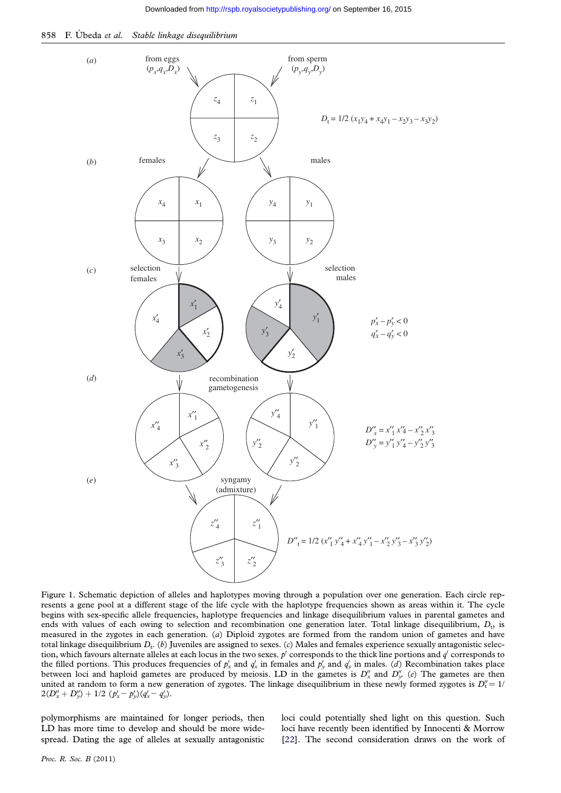<span id="page-3-0"></span>



Figure 1. Schematic depiction of alleles and haplotypes moving through a population over one generation. Each circle represents a gene pool at a different stage of the life cycle with the haplotype frequencies shown as areas within it. The cycle begins with sex-specific allele frequencies, haplotype frequencies and linkage disequilibrium values in parental gametes and ends with values of each owing to selection and recombination one generation later. Total linkage disequilibrium,  $D_{\rm t}$  is measured in the zygotes in each generation. (a) Diploid zygotes are formed from the random union of gametes and have total linkage disequilibrium  $D_t$ . (b) Juveniles are assigned to sexes. (c) Males and females experience sexually antagonistic selection, which favours alternate alleles at each locus in the two sexes.  $p'$  corresponds to the thick line portions and  $q'$  corresponds to the filled portions. This produces frequencies of  $p'_x$  and  $q'_x$  in females and  $p'_y$  and  $q'_y$  in males. (d) Recombination takes place between loci and haploid gametes are produced by meiosis. LD in the gametes is  $D''_x$  and  $D''_y$  (e) The gametes are then united at random to form a new generation of zygotes. The linkage disequilibrium in these newly formed zygotes is  $D''_1 = 1/\sqrt{2}$  $2(D''_x+D''_y)+1/2~(p'_x-p'_y)(q'_x-q'_y).$ 

polymorphisms are maintained for longer periods, then LD has more time to develop and should be more widespread. Dating the age of alleles at sexually antagonistic loci could potentially shed light on this question. Such loci have recently been identified by Innocenti & Morrow [\[22\]](#page-7-0). The second consideration draws on the work of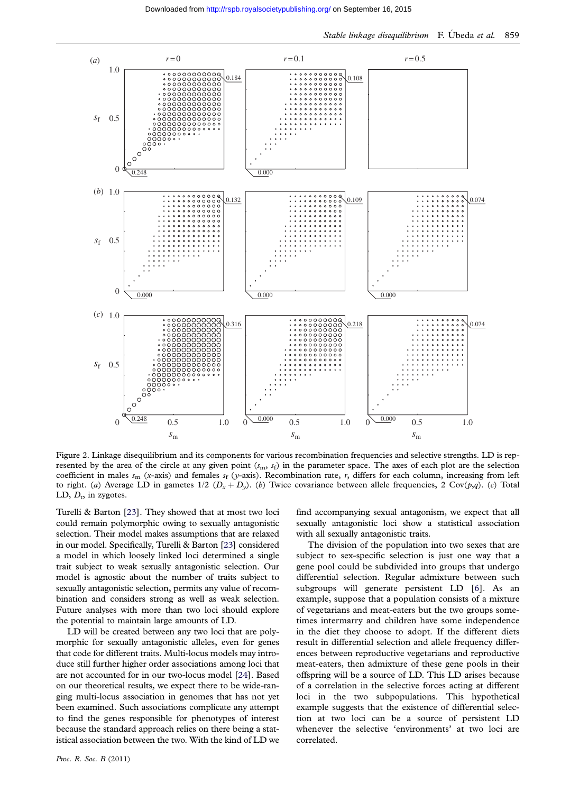<span id="page-4-0"></span>

Figure 2. Linkage disequilibrium and its components for various recombination frequencies and selective strengths. LD is represented by the area of the circle at any given point  $(s_m, s_f)$  in the parameter space. The axes of each plot are the selection coefficient in males  $s_m$  (x-axis) and females  $s_f$  (y-axis). Recombination rate, r, differs for each column, increasing from left to right. (a) Average LD in gametes  $1/2$  ( $D_x + D_y$ ). (b) Twice covariance between allele frequencies, 2 Cov(p,q). (c) Total LD,  $D_t$ , in zygotes.

Turelli & Barton [\[23\]](#page-7-0). They showed that at most two loci could remain polymorphic owing to sexually antagonistic selection. Their model makes assumptions that are relaxed in our model. Specifically, Turelli & Barton [\[23](#page-7-0)] considered a model in which loosely linked loci determined a single trait subject to weak sexually antagonistic selection. Our model is agnostic about the number of traits subject to sexually antagonistic selection, permits any value of recombination and considers strong as well as weak selection. Future analyses with more than two loci should explore the potential to maintain large amounts of LD.

LD will be created between any two loci that are polymorphic for sexually antagonistic alleles, even for genes that code for different traits. Multi-locus models may introduce still further higher order associations among loci that are not accounted for in our two-locus model [[24\]](#page-7-0). Based on our theoretical results, we expect there to be wide-ranging multi-locus association in genomes that has not yet been examined. Such associations complicate any attempt to find the genes responsible for phenotypes of interest because the standard approach relies on there being a statistical association between the two. With the kind of LD we

Proc. R. Soc. B (2011)

find accompanying sexual antagonism, we expect that all sexually antagonistic loci show a statistical association with all sexually antagonistic traits.

The division of the population into two sexes that are subject to sex-specific selection is just one way that a gene pool could be subdivided into groups that undergo differential selection. Regular admixture between such subgroups will generate persistent LD [[6\]](#page-6-0). As an example, suppose that a population consists of a mixture of vegetarians and meat-eaters but the two groups sometimes intermarry and children have some independence in the diet they choose to adopt. If the different diets result in differential selection and allele frequency differences between reproductive vegetarians and reproductive meat-eaters, then admixture of these gene pools in their offspring will be a source of LD. This LD arises because of a correlation in the selective forces acting at different loci in the two subpopulations. This hypothetical example suggests that the existence of differential selection at two loci can be a source of persistent LD whenever the selective 'environments' at two loci are correlated.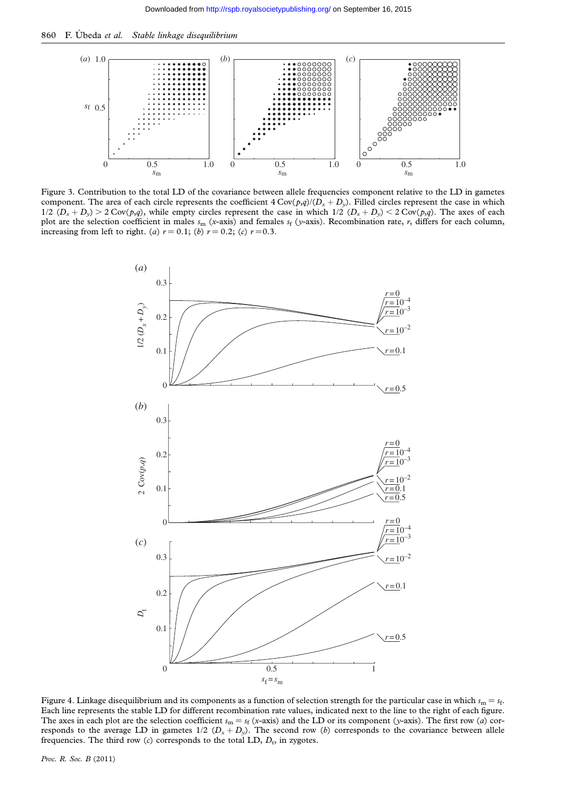<span id="page-5-0"></span>860 F. Úbeda et al. Stable linkage disequilibrium



Figure 3. Contribution to the total LD of the covariance between allele frequencies component relative to the LD in gametes component. The area of each circle represents the coefficient  $4 \text{Cov}(p,q)/(D_x + D_y)$ . Filled circles represent the case in which  $1/2$   $(D_x + D_y) > 2$  Cov(p,q), while empty circles represent the case in which  $1/2$   $(D_x + D_y) < 2$  Cov(p,q). The axes of each plot are the selection coefficient in males  $s_m$  (x-axis) and females  $s_f$  (y-axis). Recombination rate, r, differs for each column, increasing from left to right. (a)  $r = 0.1$ ; (b)  $r = 0.2$ ; (c)  $r = 0.3$ .



Figure 4. Linkage disequilibrium and its components as a function of selection strength for the particular case in which  $s_m = s_f$ . Each line represents the stable LD for different recombination rate values, indicated next to the line to the right of each figure. The axes in each plot are the selection coefficient  $s_m = s_f$  (x-axis) and the LD or its component (y-axis). The first row (a) corresponds to the average LD in gametes  $1/2$   $(D_x + D_y)$ . The second row (b) corresponds to the covariance between allele frequencies. The third row  $(c)$  corresponds to the total LD,  $D_t$ , in zygotes.

Proc. R. Soc. B (2011)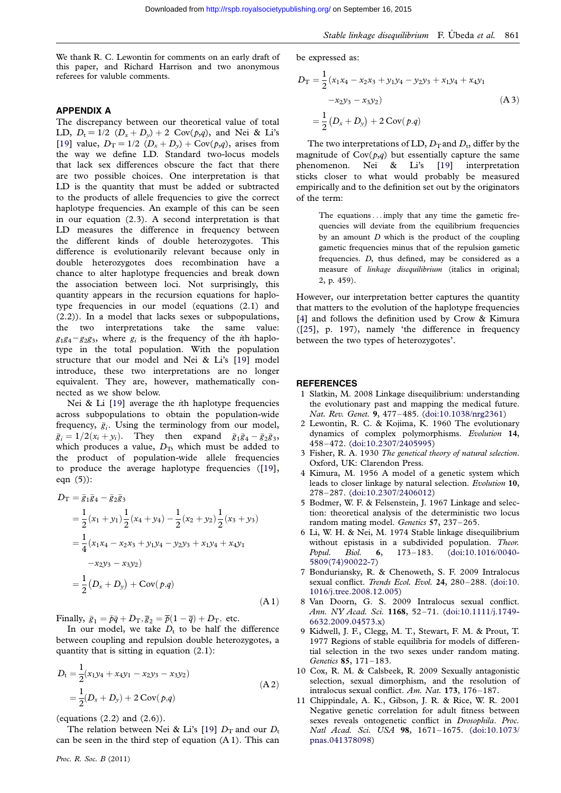<span id="page-6-0"></span>We thank R. C. Lewontin for comments on an early draft of this paper, and Richard Harrison and two anonymous referees for valuble comments.

#### APPENDIX A

The discrepancy between our theoretical value of total LD,  $D_t = 1/2$   $(D_x + D_y) + 2$  Cov $(p,q)$ , and Nei & Li's [\[19\]](#page-7-0) value,  $D_T = 1/2$   $(D_x + D_y) + Cov(p,q)$ , arises from the way we define LD. Standard two-locus models that lack sex differences obscure the fact that there are two possible choices. One interpretation is that LD is the quantity that must be added or subtracted to the products of allele frequencies to give the correct haplotype frequencies. An example of this can be seen in our equation (2.3). A second interpretation is that LD measures the difference in frequency between the different kinds of double heterozygotes. This difference is evolutionarily relevant because only in double heterozygotes does recombination have a chance to alter haplotype frequencies and break down the association between loci. Not surprisingly, this quantity appears in the recursion equations for haplotype frequencies in our model (equations (2.1) and (2.2)). In a model that lacks sexes or subpopulations, two interpretations take the same value:  $g_1g_4-g_2g_3$ , where  $g_i$  is the frequency of the *i*th haplotype in the total population. With the population structure that our model and Nei & Li's [\[19\]](#page-7-0) model introduce, these two interpretations are no longer equivalent. They are, however, mathematically connected as we show below.

Nei & Li [\[19\]](#page-7-0) average the *i*th haplotype frequencies across subpopulations to obtain the population-wide frequency,  $\bar{g}_i$ . Using the terminology from our model,  $\overline{g}_i = 1/2(x_i + y_i)$ . They then expand  $\overline{g}_1 \overline{g}_4 - \overline{g}_2 \overline{g}_3$ , which produces a value,  $D<sub>T</sub>$ , which must be added to the product of population-wide allele frequencies to produce the average haplotype frequencies ([[19](#page-7-0)], eqn (5)):

$$
D_{\text{T}} = \bar{g}_{1}\bar{g}_{4} - \bar{g}_{2}\bar{g}_{3}
$$
  
=  $\frac{1}{2}(x_{1} + y_{1})\frac{1}{2}(x_{4} + y_{4}) - \frac{1}{2}(x_{2} + y_{2})\frac{1}{2}(x_{3} + y_{3})$   
=  $\frac{1}{4}(x_{1}x_{4} - x_{2}x_{3} + y_{1}y_{4} - y_{2}y_{3} + x_{1}y_{4} + x_{4}y_{1}$   
 $-x_{2}y_{3} - x_{3}y_{2})$   
=  $\frac{1}{2}(D_{x} + D_{y}) + \text{Cov}(p,q)$  (A1)

Finally,  $\bar{g}_1 = \bar{p}\bar{q} + D_T$ ,  $\bar{g}_2 = \bar{p}(1 - \bar{q}) + D_T$ , etc.

In our model, we take  $D_t$  to be half the difference between coupling and repulsion double heterozygotes, a quantity that is sitting in equation (2.1):

$$
D_{t} = \frac{1}{2}(x_{1}y_{4} + x_{4}y_{1} - x_{2}y_{3} - x_{3}y_{2})
$$
  
=  $\frac{1}{2}(D_{x} + D_{y}) + 2 \text{ Cov}(p,q)$  (A 2)

(equations  $(2.2)$  and  $(2.6)$ ).

The relation between Nei & Li's [[19](#page-7-0)]  $D_T$  and our  $D_t$ can be seen in the third step of equation (A 1). This can

be expressed as:

$$
D_{\rm T} = \frac{1}{2} (x_1 x_4 - x_2 x_3 + y_1 y_4 - y_2 y_3 + x_1 y_4 + x_4 y_1
$$
  

$$
-x_2 y_3 - x_3 y_2)
$$
  

$$
= \frac{1}{2} (D_x + D_y) + 2 \operatorname{Cov}(p.q)
$$
 (A 3)

The two interpretations of LD,  $D_T$  and  $D_t$ , differ by the magnitude of  $Cov(p,q)$  but essentially capture the same phenomenon. Nei & Li's [\[19\]](#page-7-0) interpretation sticks closer to what would probably be measured empirically and to the definition set out by the originators of the term:

The equations... imply that any time the gametic frequencies will deviate from the equilibrium frequencies by an amount  $D$  which is the product of the coupling gametic frequencies minus that of the repulsion gametic frequencies. D, thus defined, may be considered as a measure of *linkage disequilibrium* (italics in original; 2, p. 459).

However, our interpretation better captures the quantity that matters to the evolution of the haplotype frequencies [4] and follows the definition used by Crow & Kimura ([[25](#page-7-0)], p. 197), namely 'the difference in frequency between the two types of heterozygotes'.

#### **REFERENCES**

- 1 Slatkin, M. 2008 Linkage disequilibrium: understanding the evolutionary past and mapping the medical future. Nat. Rev. Genet. 9, 477–485. [\(doi:10.1038/nrg2361](http://dx.doi.org/doi:10.1038/nrg2361))
- 2 Lewontin, R. C. & Kojima, K. 1960 The evolutionary dynamics of complex polymorphisms. Evolution 14, 458 –472. ([doi:10.2307/2405995](http://dx.doi.org/doi:10.2307/2405995))
- 3 Fisher, R. A. 1930 The genetical theory of natural selection. Oxford, UK: Clarendon Press.
- 4 Kimura, M. 1956 A model of a genetic system which leads to closer linkage by natural selection. Evolution 10, 278 –287. ([doi:10.2307/2406012](http://dx.doi.org/doi:10.2307/2406012))
- 5 Bodmer, W. F. & Felsenstein, J. 1967 Linkage and selection: theoretical analysis of the deterministic two locus random mating model. Genetics 57, 237 –265.
- 6 Li, W. H. & Nei, M. 1974 Stable linkage disequilibrium without epistasis in a subdivided population. Theor. Popul. Biol. 6, 173-183. [\(doi:10.1016/0040-](http://dx.doi.org/doi:10.1016/0040-5809(74)90022-7) [5809\(74\)90022-7](http://dx.doi.org/doi:10.1016/0040-5809(74)90022-7))
- 7 Bonduriansky, R. & Chenoweth, S. F. 2009 Intralocus sexual conflict. Trends Ecol. Evol. 24, 280-288. ([doi:10.](http://dx.doi.org/doi:10.1016/j.tree.2008.12.005) [1016/j.tree.2008.12.005](http://dx.doi.org/doi:10.1016/j.tree.2008.12.005))
- 8 Van Doorn, G. S. 2009 Intralocus sexual conflict. Ann. NY Acad. Sci. 1168, 52–71. [\(doi:10.1111/j.1749-](http://dx.doi.org/doi:10.1111/j.1749-6632.2009.04573.x) [6632.2009.04573.x](http://dx.doi.org/doi:10.1111/j.1749-6632.2009.04573.x))
- 9 Kidwell, J. F., Clegg, M. T., Stewart, F. M. & Prout, T. 1977 Regions of stable equilibria for models of differential selection in the two sexes under random mating. Genetics 85, 171–183.
- 10 Cox, R. M. & Calsbeek, R. 2009 Sexually antagonistic selection, sexual dimorphism, and the resolution of intralocus sexual conflict. Am. Nat. 173, 176-187.
- 11 Chippindale, A. K., Gibson, J. R. & Rice, W. R. 2001 Negative genetic correlation for adult fitness between sexes reveals ontogenetic conflict in Drosophila. Proc. Natl Acad. Sci. USA 98, 1671–1675. ([doi:10.1073/](http://dx.doi.org/doi:10.1073/pnas.041378098) [pnas.041378098](http://dx.doi.org/doi:10.1073/pnas.041378098))